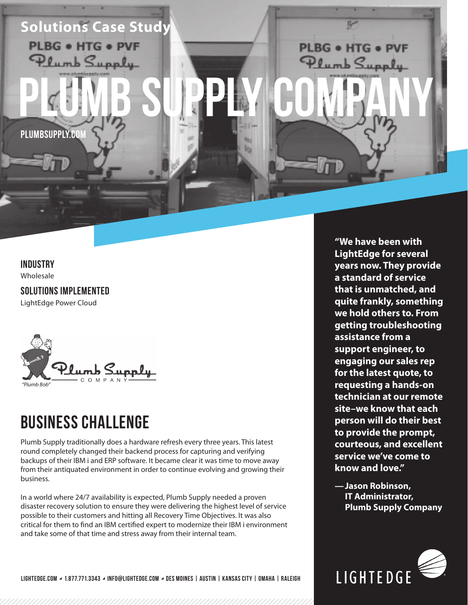

#### **INDUSTRY**

Wholesale

**SOLUTIONS IMPLEMENTED** LightEdge Power Cloud



## **BUSINESS CHALLENGE**

Plumb Supply traditionally does a hardware refresh every three years. This latest round completely changed their backend process for capturing and verifying backups of their IBM i and ERP software. It became clear it was time to move away from their antiquated environment in order to continue evolving and growing their business.

In a world where 24/7 availability is expected, Plumb Supply needed a proven disaster recovery solution to ensure they were delivering the highest level of service possible to their customers and hitting all Recovery Time Objectives. It was also critical for them to find an IBM certified expert to modernize their IBM i environment and take some of that time and stress away from their internal team.

**"We have been with LightEdge for several years now. They provide a standard of service that is unmatched, and quite frankly, something we hold others to. From getting troubleshooting assistance from a support engineer, to engaging our sales rep for the latest quote, to requesting a hands-on technician at our remote site–we know that each person will do their best to provide the prompt, courteous, and excellent service we've come to know and love."**

**—Jason Robinson, IT Administrator, Plumb Supply Company**